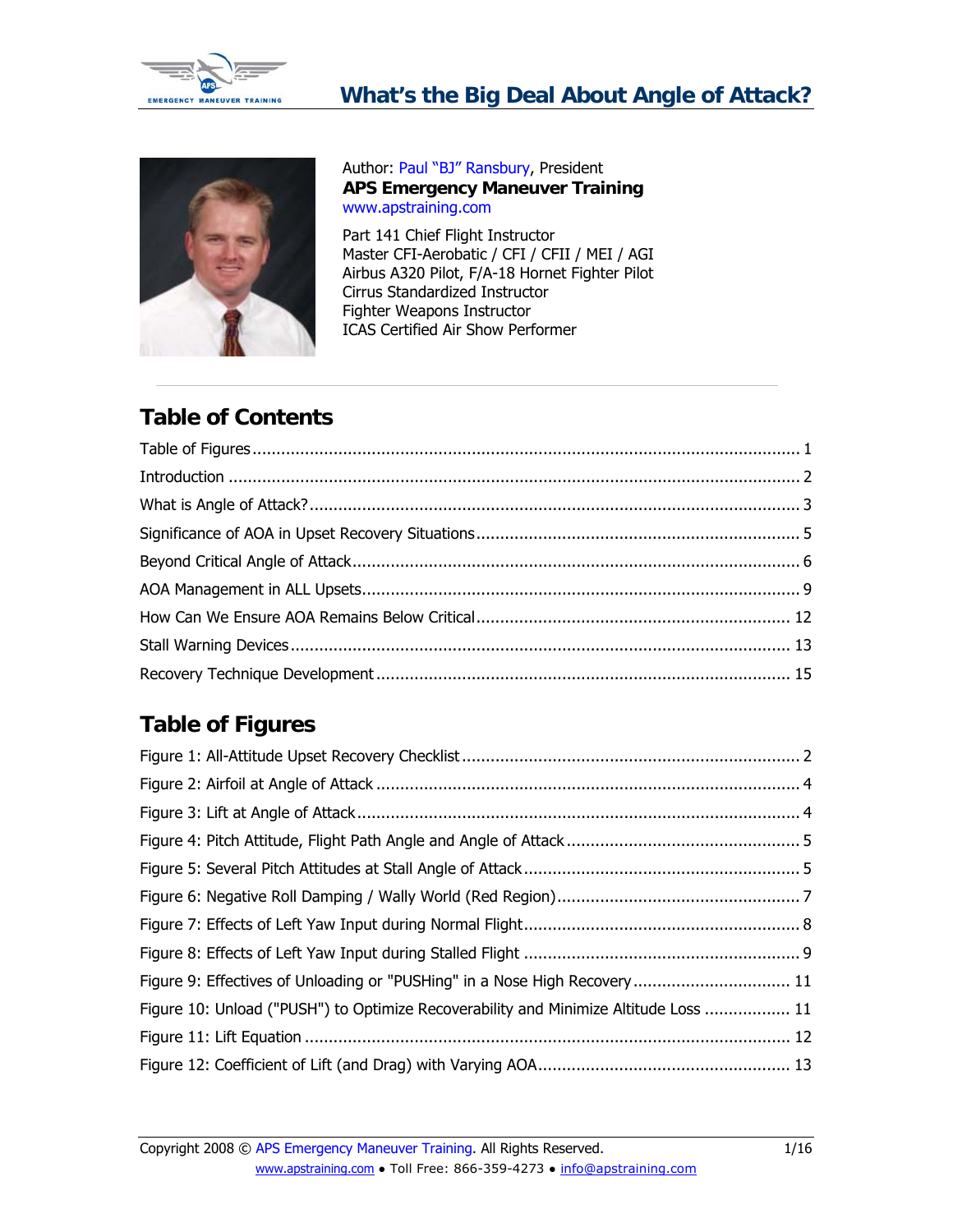<span id="page-0-0"></span>



Author: [Paul "BJ" Ransbury,](http://www.apstraining.com/presidents-page.htm) President **APS Emergency Maneuver Training** [www.apstraining.com](http://www.apstraining.com/) 

Part 141 Chief Flight Instructor Master CFI-Aerobatic / CFI / CFII / MEI / AGI Airbus A320 Pilot, F/A-18 Hornet Fighter Pilot Cirrus Standardized Instructor Fighter Weapons Instructor ICAS Certified Air Show Performer

# **Table of Contents**

# **Table of Figures**

| Figure 9: Effectives of Unloading or "PUSHing" in a Nose High Recovery 11            |  |
|--------------------------------------------------------------------------------------|--|
| Figure 10: Unload ("PUSH") to Optimize Recoverability and Minimize Altitude Loss  11 |  |
|                                                                                      |  |
|                                                                                      |  |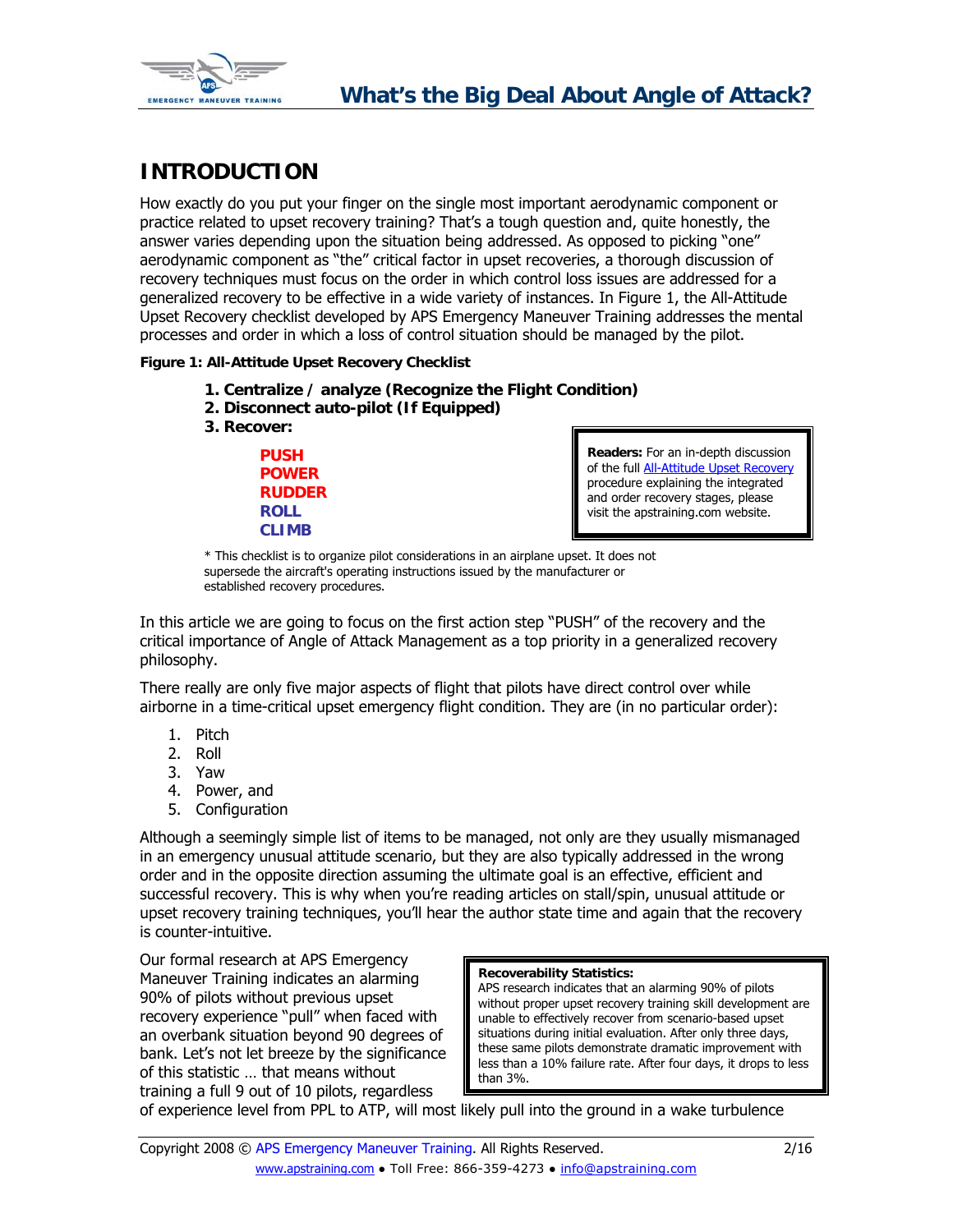<span id="page-1-0"></span>

## **INTRODUCTION**

How exactly do you put your finger on the single most important aerodynamic component or practice related to upset recovery training? That's a tough question and, quite honestly, the answer varies depending upon the situation being addressed. As opposed to picking "one" aerodynamic component as "the" critical factor in upset recoveries, a thorough discussion of recovery techniques must focus on the order in which control loss issues are addressed for a generalized recovery to be effective in a wide variety of instances. In Figure 1, the All-Attitude Upset Recovery checklist developed by APS Emergency Maneuver Training addresses the mental processes and order in which a loss of control situation should be managed by the pilot.

### **Figure 1: All-Attitude Upset Recovery Checklist**

- **1. Centralize / analyze (Recognize the Flight Condition)**
- **2. Disconnect auto-pilot (If Equipped)**
- **3. Recover:**

**PUSH POWER RUDDER ROLL CLIMB**

**Readers:** For an in-depth discussion of the full [All-Attitude Upset Recovery](http://www.apstraining.com/article-all-attitude-upset-recovery-technique-checklist.htm) procedure explaining the integrated and order recovery stages, please visit the apstraining.com website.

\* This checklist is to organize pilot considerations in an airplane upset. It does not supersede the aircraft's operating instructions issued by the manufacturer or established recovery procedures.

In this article we are going to focus on the first action step "PUSH" of the recovery and the critical importance of Angle of Attack Management as a top priority in a generalized recovery philosophy.

There really are only five major aspects of flight that pilots have direct control over while airborne in a time-critical upset emergency flight condition. They are (in no particular order):

- 1. Pitch
- 2. Roll
- 3. Yaw
- 4. Power, and
- 5. Configuration

Although a seemingly simple list of items to be managed, not only are they usually mismanaged in an emergency unusual attitude scenario, but they are also typically addressed in the wrong order and in the opposite direction assuming the ultimate goal is an effective, efficient and successful recovery. This is why when you're reading articles on stall/spin, unusual attitude or upset recovery training techniques, you'll hear the author state time and again that the recovery is counter-intuitive.

Our formal research at APS Emergency Maneuver Training indicates an alarming 90% of pilots without previous upset recovery experience "pull" when faced with an overbank situation beyond 90 degrees of bank. Let's not let breeze by the significance of this statistic … that means without training a full 9 out of 10 pilots, regardless

#### **Recoverability Statistics:**

APS research indicates that an alarming 90% of pilots without proper upset recovery training skill development are unable to effectively recover from scenario-based upset situations during initial evaluation. After only three days, these same pilots demonstrate dramatic improvement with less than a 10% failure rate. After four days, it drops to less than 3%.

of experience level from PPL to ATP, will most likely pull into the ground in a wake turbulence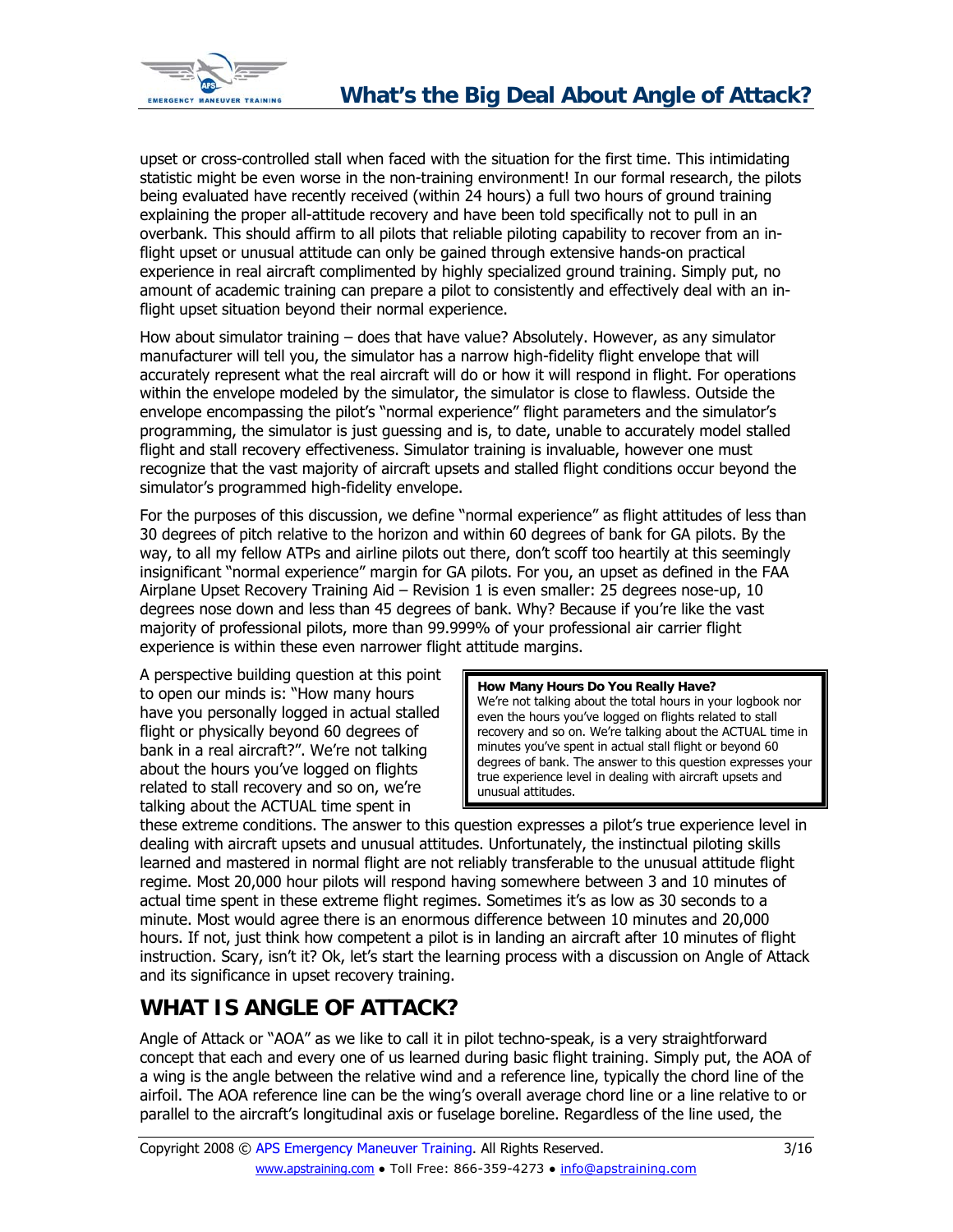<span id="page-2-0"></span>

upset or cross-controlled stall when faced with the situation for the first time. This intimidating statistic might be even worse in the non-training environment! In our formal research, the pilots being evaluated have recently received (within 24 hours) a full two hours of ground training explaining the proper all-attitude recovery and have been told specifically not to pull in an overbank. This should affirm to all pilots that reliable piloting capability to recover from an inflight upset or unusual attitude can only be gained through extensive hands-on practical experience in real aircraft complimented by highly specialized ground training. Simply put, no amount of academic training can prepare a pilot to consistently and effectively deal with an inflight upset situation beyond their normal experience.

How about simulator training – does that have value? Absolutely. However, as any simulator manufacturer will tell you, the simulator has a narrow high-fidelity flight envelope that will accurately represent what the real aircraft will do or how it will respond in flight. For operations within the envelope modeled by the simulator, the simulator is close to flawless. Outside the envelope encompassing the pilot's "normal experience" flight parameters and the simulator's programming, the simulator is just guessing and is, to date, unable to accurately model stalled flight and stall recovery effectiveness. Simulator training is invaluable, however one must recognize that the vast majority of aircraft upsets and stalled flight conditions occur beyond the simulator's programmed high-fidelity envelope.

For the purposes of this discussion, we define "normal experience" as flight attitudes of less than 30 degrees of pitch relative to the horizon and within 60 degrees of bank for GA pilots. By the way, to all my fellow ATPs and airline pilots out there, don't scoff too heartily at this seemingly insignificant "normal experience" margin for GA pilots. For you, an upset as defined in the FAA Airplane Upset Recovery Training Aid – Revision 1 is even smaller: 25 degrees nose-up, 10 degrees nose down and less than 45 degrees of bank. Why? Because if you're like the vast majority of professional pilots, more than 99.999% of your professional air carrier flight experience is within these even narrower flight attitude margins.

A perspective building question at this point to open our minds is: "How many hours have you personally logged in actual stalled flight or physically beyond 60 degrees of bank in a real aircraft?". We're not talking about the hours you've logged on flights related to stall recovery and so on, we're talking about the ACTUAL time spent in

**How Many Hours Do You Really Have?**  We're not talking about the total hours in your logbook nor even the hours you've logged on flights related to stall recovery and so on. We're talking about the ACTUAL time in minutes you've spent in actual stall flight or beyond 60 degrees of bank. The answer to this question expresses your true experience level in dealing with aircraft upsets and unusual attitudes.

these extreme conditions. The answer to this question expresses a pilot's true experience level in dealing with aircraft upsets and unusual attitudes. Unfortunately, the instinctual piloting skills learned and mastered in normal flight are not reliably transferable to the unusual attitude flight regime. Most 20,000 hour pilots will respond having somewhere between 3 and 10 minutes of actual time spent in these extreme flight regimes. Sometimes it's as low as 30 seconds to a minute. Most would agree there is an enormous difference between 10 minutes and 20,000 hours. If not, just think how competent a pilot is in landing an aircraft after 10 minutes of flight instruction. Scary, isn't it? Ok, let's start the learning process with a discussion on Angle of Attack and its significance in upset recovery training.

## **WHAT IS ANGLE OF ATTACK?**

Angle of Attack or "AOA" as we like to call it in pilot techno-speak, is a very straightforward concept that each and every one of us learned during basic flight training. Simply put, the AOA of a wing is the angle between the relative wind and a reference line, typically the chord line of the airfoil. The AOA reference line can be the wing's overall average chord line or a line relative to or parallel to the aircraft's longitudinal axis or fuselage boreline. Regardless of the line used, the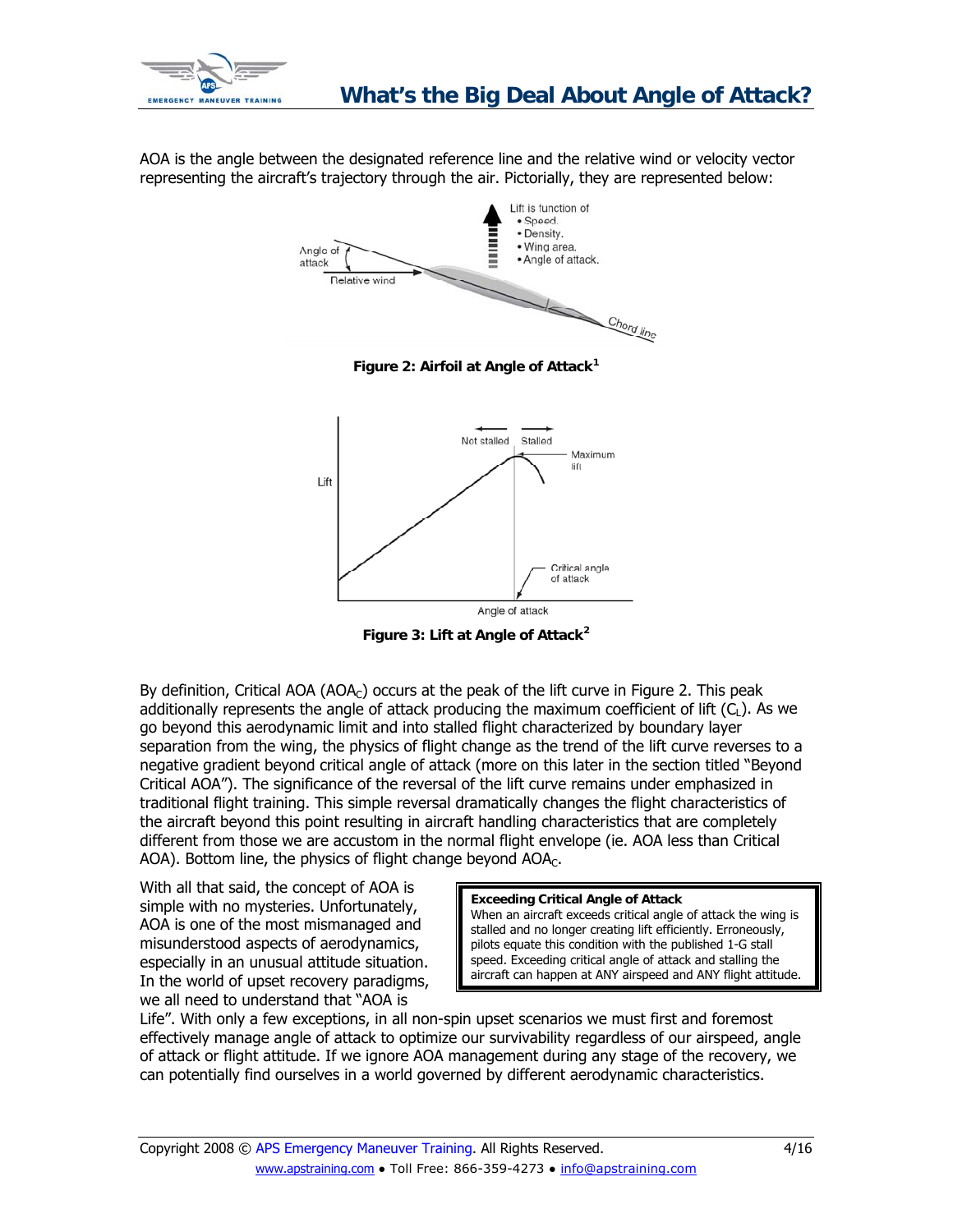<span id="page-3-0"></span>

AOA is the angle between the designated reference line and the relative wind or velocity vector representing the aircraft's trajectory through the air. Pictorially, they are represented below:







**Figure 3: Lift at Angle of Attack[2](#page-15-1)**

By definition, Critical AOA (AOA<sub>C</sub>) occurs at the peak of the lift curve in Figure 2. This peak additionally represents the angle of attack producing the maximum coefficient of lift  $(C<sub>L</sub>)$ . As we go beyond this aerodynamic limit and into stalled flight characterized by boundary layer separation from the wing, the physics of flight change as the trend of the lift curve reverses to a negative gradient beyond critical angle of attack (more on this later in the section titled "Beyond Critical AOA"). The significance of the reversal of the lift curve remains under emphasized in traditional flight training. This simple reversal dramatically changes the flight characteristics of the aircraft beyond this point resulting in aircraft handling characteristics that are completely different from those we are accustom in the normal flight envelope (ie. AOA less than Critical AOA). Bottom line, the physics of flight change beyond  $AOA<sub>C</sub>$ .

With all that said, the concept of AOA is simple with no mysteries. Unfortunately, AOA is one of the most mismanaged and misunderstood aspects of aerodynamics, especially in an unusual attitude situation. In the world of upset recovery paradigms, we all need to understand that "AOA is

### **Exceeding Critical Angle of Attack**

When an aircraft exceeds critical angle of attack the wing is stalled and no longer creating lift efficiently. Erroneously, pilots equate this condition with the published 1-G stall speed. Exceeding critical angle of attack and stalling the aircraft can happen at ANY airspeed and ANY flight attitude.

Life". With only a few exceptions, in all non-spin upset scenarios we must first and foremost effectively manage angle of attack to optimize our survivability regardless of our airspeed, angle of attack or flight attitude. If we ignore AOA management during any stage of the recovery, we can potentially find ourselves in a world governed by different aerodynamic characteristics.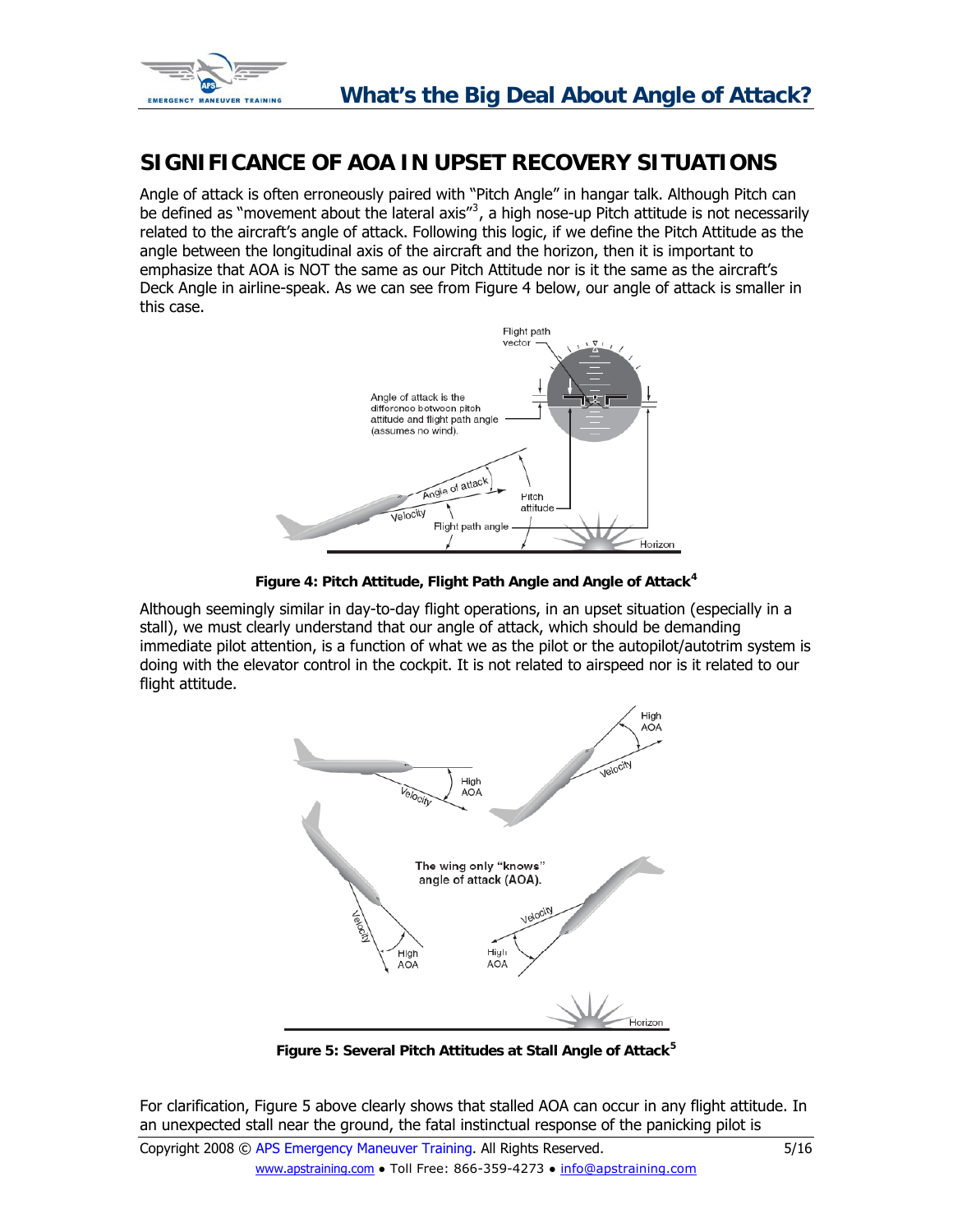<span id="page-4-0"></span>

## **SIGNIFICANCE OF AOA IN UPSET RECOVERY SITUATIONS**

Angle of attack is often erroneously paired with "Pitch Angle" in hangar talk. Although Pitch can be defined as "movement about the lateral axis" $3$ , a high nose-up Pitch attitude is not necessarily related to the aircraft's angle of attack. Following this logic, if we define the Pitch Attitude as the angle between the longitudinal axis of the aircraft and the horizon, then it is important to emphasize that AOA is NOT the same as our Pitch Attitude nor is it the same as the aircraft's Deck Angle in airline-speak. As we can see from Figure 4 below, our angle of attack is smaller in this case.



**Figure 4: Pitch Attitude, Flight Path Angle and Angle of Attack[4](#page-15-1)**

Although seemingly similar in day-to-day flight operations, in an upset situation (especially in a stall), we must clearly understand that our angle of attack, which should be demanding immediate pilot attention, is a function of what we as the pilot or the autopilot/autotrim system is doing with the elevator control in the cockpit. It is not related to airspeed nor is it related to our flight attitude.



**Figure 5: Several Pitch Attitudes at Stall Angle of Attack[5](#page-15-1)**

For clarification, Figure 5 above clearly shows that stalled AOA can occur in any flight attitude. In an unexpected stall near the ground, the fatal instinctual response of the panicking pilot is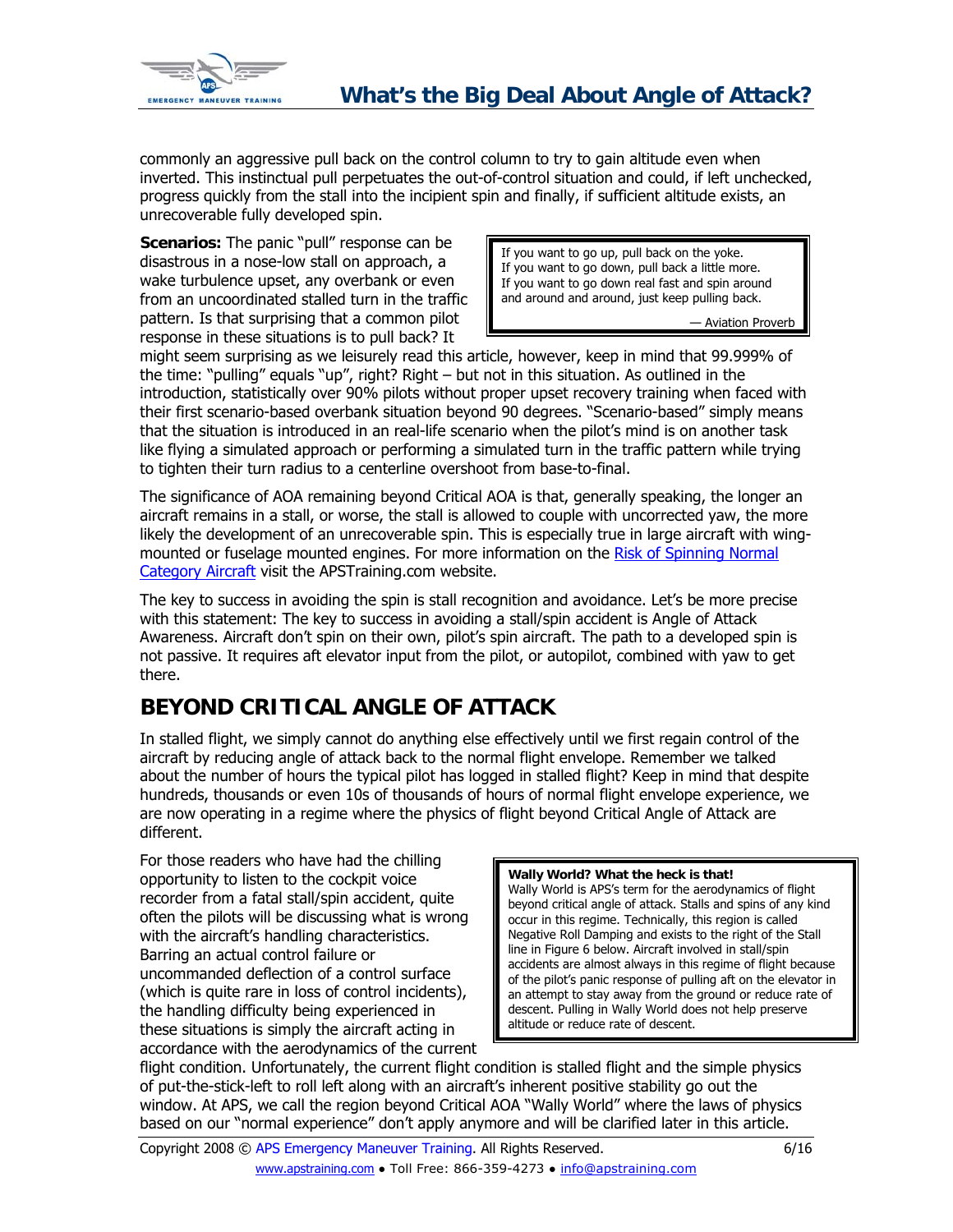<span id="page-5-0"></span>

commonly an aggressive pull back on the control column to try to gain altitude even when inverted. This instinctual pull perpetuates the out-of-control situation and could, if left unchecked, progress quickly from the stall into the incipient spin and finally, if sufficient altitude exists, an unrecoverable fully developed spin.

**Scenarios:** The panic "pull" response can be disastrous in a nose-low stall on approach, a wake turbulence upset, any overbank or even from an uncoordinated stalled turn in the traffic pattern. Is that surprising that a common pilot response in these situations is to pull back? It

If you want to go up, pull back on the yoke. If you want to go down, pull back a little more. If you want to go down real fast and spin around and around and around, just keep pulling back.

— Aviation Proverb

might seem surprising as we leisurely read this article, however, keep in mind that 99.999% of the time: "pulling" equals "up", right? Right – but not in this situation. As outlined in the introduction, statistically over 90% pilots without proper upset recovery training when faced with their first scenario-based overbank situation beyond 90 degrees. "Scenario-based" simply means that the situation is introduced in an real-life scenario when the pilot's mind is on another task like flying a simulated approach or performing a simulated turn in the traffic pattern while trying to tighten their turn radius to a centerline overshoot from base-to-final.

The significance of AOA remaining beyond Critical AOA is that, generally speaking, the longer an aircraft remains in a stall, or worse, the stall is allowed to couple with uncorrected yaw, the more likely the development of an unrecoverable spin. This is especially true in large aircraft with wingmounted or fuselage mounted engines. For more information on the [Risk of Spinning Normal](http://www.apstraining.com/article-stall-spin-training-normal-category-aircraft.htm)  [Category Aircraft](http://www.apstraining.com/article-stall-spin-training-normal-category-aircraft.htm) visit the APSTraining.com website.

The key to success in avoiding the spin is stall recognition and avoidance. Let's be more precise with this statement: The key to success in avoiding a stall/spin accident is Angle of Attack Awareness. Aircraft don't spin on their own, pilot's spin aircraft. The path to a developed spin is not passive. It requires aft elevator input from the pilot, or autopilot, combined with yaw to get there.

# **BEYOND CRITICAL ANGLE OF ATTACK**

In stalled flight, we simply cannot do anything else effectively until we first regain control of the aircraft by reducing angle of attack back to the normal flight envelope. Remember we talked about the number of hours the typical pilot has logged in stalled flight? Keep in mind that despite hundreds, thousands or even 10s of thousands of hours of normal flight envelope experience, we are now operating in a regime where the physics of flight beyond Critical Angle of Attack are different.

For those readers who have had the chilling opportunity to listen to the cockpit voice recorder from a fatal stall/spin accident, quite often the pilots will be discussing what is wrong with the aircraft's handling characteristics. Barring an actual control failure or uncommanded deflection of a control surface (which is quite rare in loss of control incidents), the handling difficulty being experienced in these situations is simply the aircraft acting in accordance with the aerodynamics of the current

**Wally World? What the heck is that!**  Wally World is APS's term for the aerodynamics of flight beyond critical angle of attack. Stalls and spins of any kind occur in this regime. Technically, this region is called Negative Roll Damping and exists to the right of the Stall line in Figure 6 below. Aircraft involved in stall/spin accidents are almost always in this regime of flight because of the pilot's panic response of pulling aft on the elevator in an attempt to stay away from the ground or reduce rate of descent. Pulling in Wally World does not help preserve altitude or reduce rate of descent.

flight condition. Unfortunately, the current flight condition is stalled flight and the simple physics of put-the-stick-left to roll left along with an aircraft's inherent positive stability go out the window. At APS, we call the region beyond Critical AOA "Wally World" where the laws of physics based on our "normal experience" don't apply anymore and will be clarified later in this article.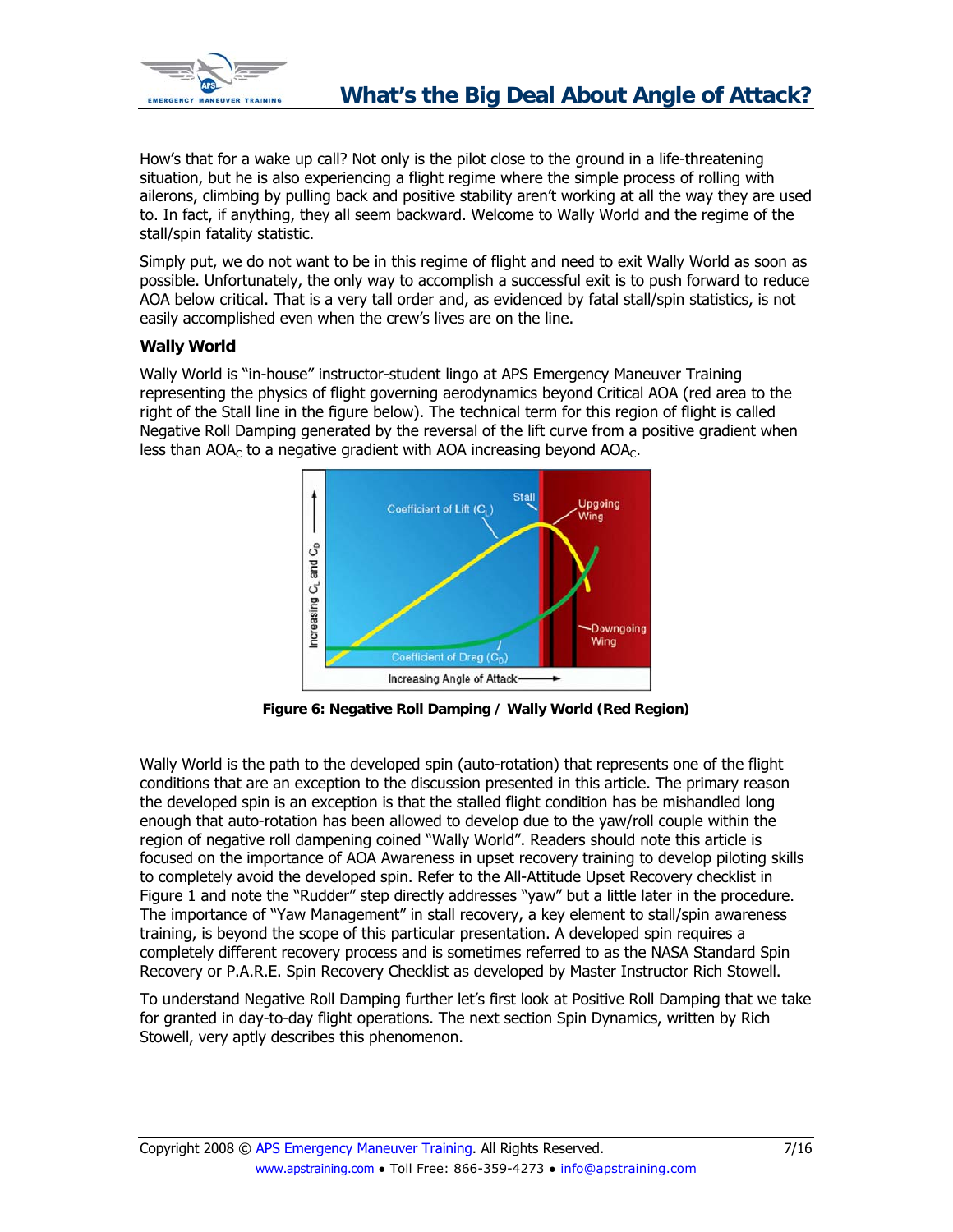<span id="page-6-0"></span>

How's that for a wake up call? Not only is the pilot close to the ground in a life-threatening situation, but he is also experiencing a flight regime where the simple process of rolling with ailerons, climbing by pulling back and positive stability aren't working at all the way they are used to. In fact, if anything, they all seem backward. Welcome to Wally World and the regime of the stall/spin fatality statistic.

Simply put, we do not want to be in this regime of flight and need to exit Wally World as soon as possible. Unfortunately, the only way to accomplish a successful exit is to push forward to reduce AOA below critical. That is a very tall order and, as evidenced by fatal stall/spin statistics, is not easily accomplished even when the crew's lives are on the line.

### **Wally World**

Wally World is "in-house" instructor-student lingo at APS Emergency Maneuver Training representing the physics of flight governing aerodynamics beyond Critical AOA (red area to the right of the Stall line in the figure below). The technical term for this region of flight is called Negative Roll Damping generated by the reversal of the lift curve from a positive gradient when less than  $AOA<sub>C</sub>$  to a negative gradient with AOA increasing beyond  $AOA<sub>C</sub>$ .



**Figure 6: Negative Roll Damping / Wally World (Red Region)** 

Wally World is the path to the developed spin (auto-rotation) that represents one of the flight conditions that are an exception to the discussion presented in this article. The primary reason the developed spin is an exception is that the stalled flight condition has be mishandled long enough that auto-rotation has been allowed to develop due to the yaw/roll couple within the region of negative roll dampening coined "Wally World". Readers should note this article is focused on the importance of AOA Awareness in upset recovery training to develop piloting skills to completely avoid the developed spin. Refer to the All-Attitude Upset Recovery checklist in Figure 1 and note the "Rudder" step directly addresses "yaw" but a little later in the procedure. The importance of "Yaw Management" in stall recovery, a key element to stall/spin awareness training, is beyond the scope of this particular presentation. A developed spin requires a completely different recovery process and is sometimes referred to as the NASA Standard Spin Recovery or P.A.R.E. Spin Recovery Checklist as developed by Master Instructor Rich Stowell.

To understand Negative Roll Damping further let's first look at Positive Roll Damping that we take for granted in day-to-day flight operations. The next section Spin Dynamics, written by Rich Stowell, very aptly describes this phenomenon.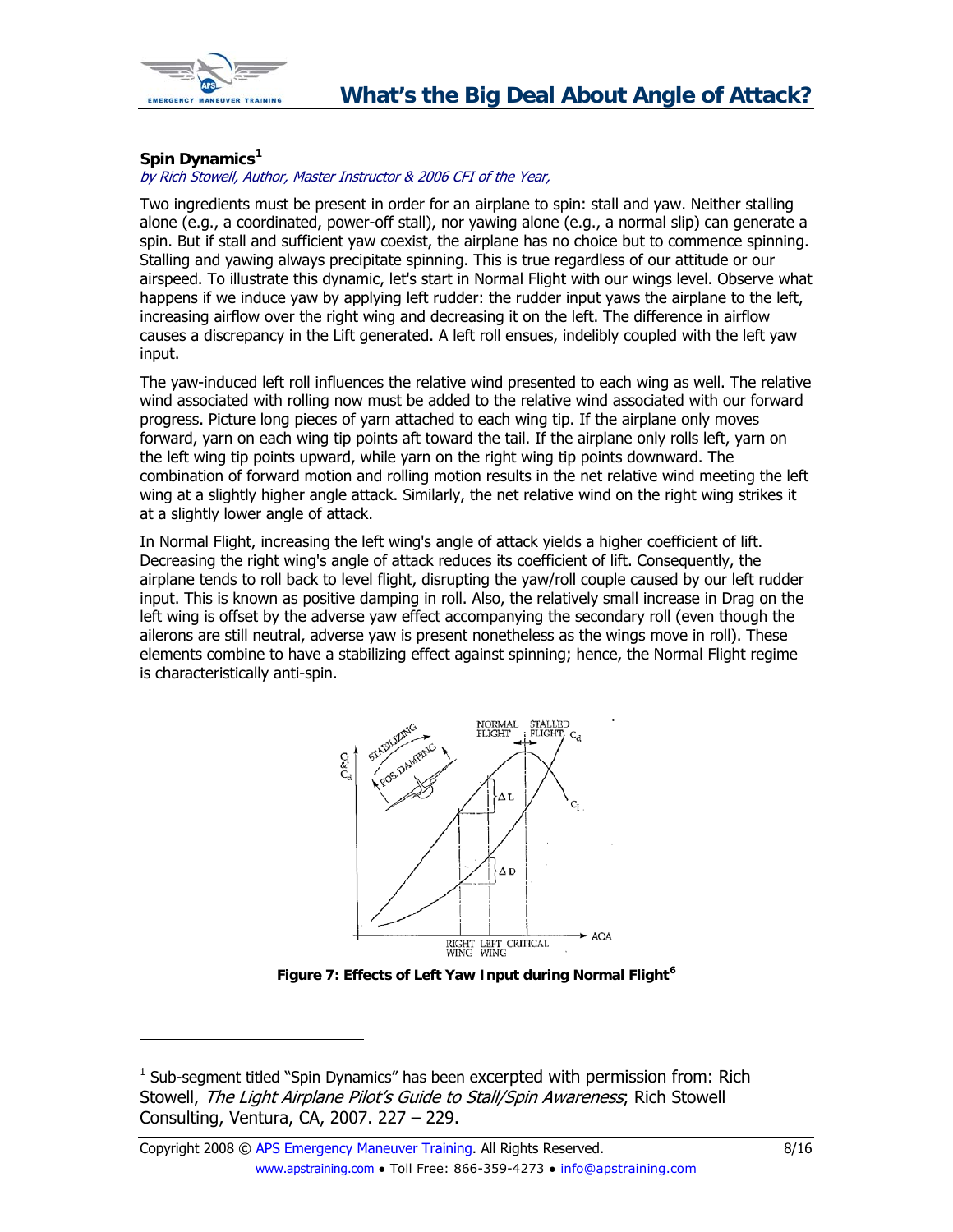<span id="page-7-0"></span>

### <span id="page-7-1"></span>**Spin Dynamics[1](#page-7-1)**

### by Rich Stowell, Author, Master Instructor & 2006 CFI of the Year,

Two ingredients must be present in order for an airplane to spin: stall and yaw. Neither stalling alone (e.g., a coordinated, power-off stall), nor yawing alone (e.g., a normal slip) can generate a spin. But if stall and sufficient yaw coexist, the airplane has no choice but to commence spinning. Stalling and yawing always precipitate spinning. This is true regardless of our attitude or our airspeed. To illustrate this dynamic, let's start in Normal Flight with our wings level. Observe what happens if we induce yaw by applying left rudder: the rudder input yaws the airplane to the left, increasing airflow over the right wing and decreasing it on the left. The difference in airflow causes a discrepancy in the Lift generated. A left roll ensues, indelibly coupled with the left yaw input.

The yaw-induced left roll influences the relative wind presented to each wing as well. The relative wind associated with rolling now must be added to the relative wind associated with our forward progress. Picture long pieces of yarn attached to each wing tip. If the airplane only moves forward, yarn on each wing tip points aft toward the tail. If the airplane only rolls left, yarn on the left wing tip points upward, while yarn on the right wing tip points downward. The combination of forward motion and rolling motion results in the net relative wind meeting the left wing at a slightly higher angle attack. Similarly, the net relative wind on the right wing strikes it at a slightly lower angle of attack.

In Normal Flight, increasing the left wing's angle of attack yields a higher coefficient of lift. Decreasing the right wing's angle of attack reduces its coefficient of lift. Consequently, the airplane tends to roll back to level flight, disrupting the yaw/roll couple caused by our left rudder input. This is known as positive damping in roll. Also, the relatively small increase in Drag on the left wing is offset by the adverse yaw effect accompanying the secondary roll (even though the ailerons are still neutral, adverse yaw is present nonetheless as the wings move in roll). These elements combine to have a stabilizing effect against spinning; hence, the Normal Flight regime is characteristically anti-spin.



**Figure 7: Effects of Left Yaw Input during Normal Flight[6](#page-15-1)**

<sup>&</sup>lt;sup>1</sup> Sub-segment titled "Spin Dynamics" has been excerpted with permission from: Rich Stowell, The Light Airplane Pilot's Guide to Stall/Spin Awareness; Rich Stowell Consulting, Ventura, CA, 2007. 227 – 229.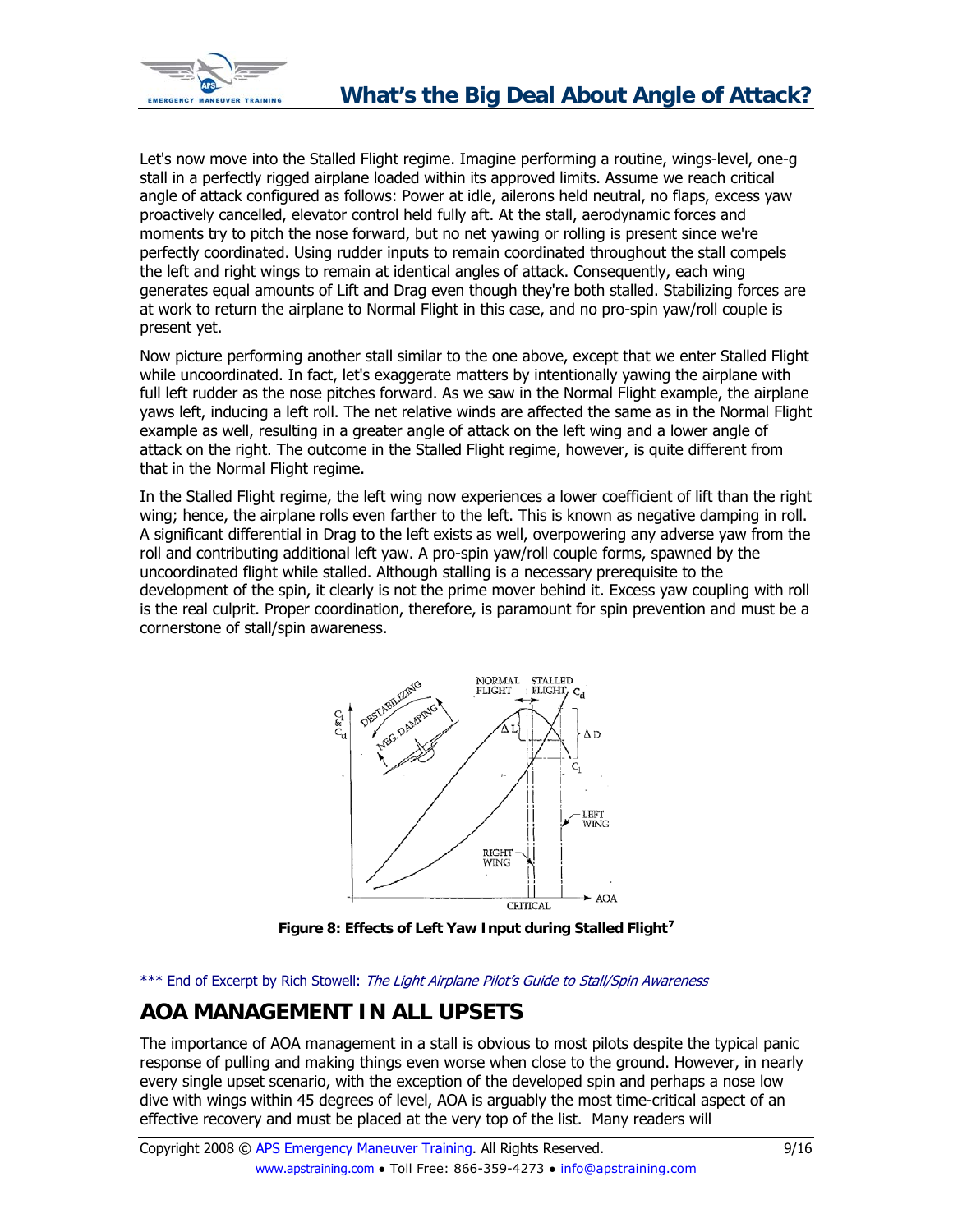<span id="page-8-0"></span>

Let's now move into the Stalled Flight regime. Imagine performing a routine, wings-level, one-g stall in a perfectly rigged airplane loaded within its approved limits. Assume we reach critical angle of attack configured as follows: Power at idle, ailerons held neutral, no flaps, excess yaw proactively cancelled, elevator control held fully aft. At the stall, aerodynamic forces and moments try to pitch the nose forward, but no net yawing or rolling is present since we're perfectly coordinated. Using rudder inputs to remain coordinated throughout the stall compels the left and right wings to remain at identical angles of attack. Consequently, each wing generates equal amounts of Lift and Drag even though they're both stalled. Stabilizing forces are at work to return the airplane to Normal Flight in this case, and no pro-spin yaw/roll couple is present yet.

Now picture performing another stall similar to the one above, except that we enter Stalled Flight while uncoordinated. In fact, let's exaggerate matters by intentionally yawing the airplane with full left rudder as the nose pitches forward. As we saw in the Normal Flight example, the airplane yaws left, inducing a left roll. The net relative winds are affected the same as in the Normal Flight example as well, resulting in a greater angle of attack on the left wing and a lower angle of attack on the right. The outcome in the Stalled Flight regime, however, is quite different from that in the Normal Flight regime.

In the Stalled Flight regime, the left wing now experiences a lower coefficient of lift than the right wing; hence, the airplane rolls even farther to the left. This is known as negative damping in roll. A significant differential in Drag to the left exists as well, overpowering any adverse yaw from the roll and contributing additional left yaw. A pro-spin yaw/roll couple forms, spawned by the uncoordinated flight while stalled. Although stalling is a necessary prerequisite to the development of the spin, it clearly is not the prime mover behind it. Excess yaw coupling with roll is the real culprit. Proper coordination, therefore, is paramount for spin prevention and must be a cornerstone of stall/spin awareness.



**Figure 8: Effects of Left Yaw Input during Stalled Flight[7](#page-15-1)**

\*\*\* End of Excerpt by Rich Stowell: The Light Airplane Pilot's Guide to Stall/Spin Awareness

# **AOA MANAGEMENT IN ALL UPSETS**

The importance of AOA management in a stall is obvious to most pilots despite the typical panic response of pulling and making things even worse when close to the ground. However, in nearly every single upset scenario, with the exception of the developed spin and perhaps a nose low dive with wings within 45 degrees of level, AOA is arguably the most time-critical aspect of an effective recovery and must be placed at the very top of the list. Many readers will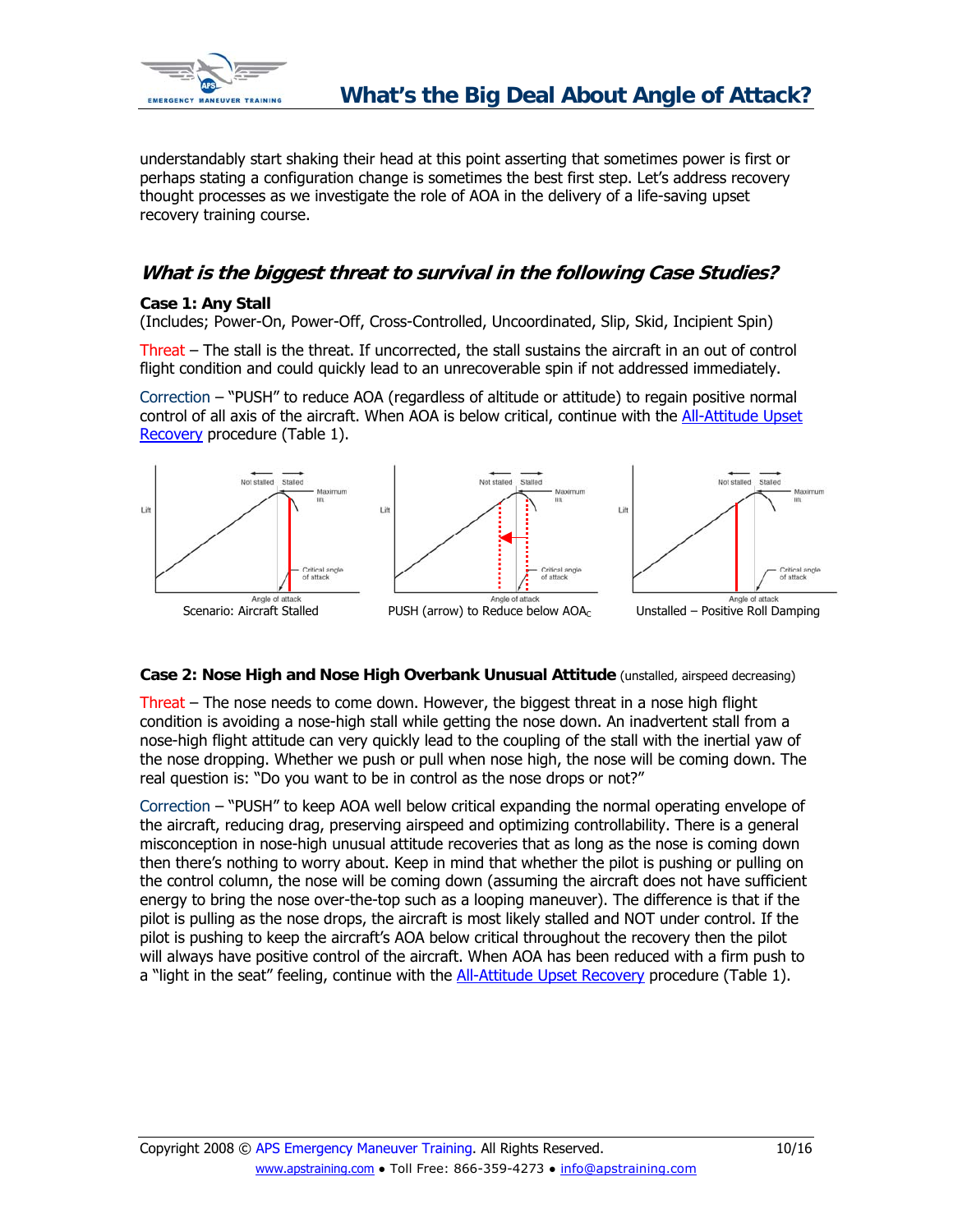

understandably start shaking their head at this point asserting that sometimes power is first or perhaps stating a configuration change is sometimes the best first step. Let's address recovery thought processes as we investigate the role of AOA in the delivery of a life-saving upset recovery training course.

### **What is the biggest threat to survival in the following Case Studies?**

### **Case 1: Any Stall**

(Includes; Power-On, Power-Off, Cross-Controlled, Uncoordinated, Slip, Skid, Incipient Spin)

Threat – The stall is the threat. If uncorrected, the stall sustains the aircraft in an out of control flight condition and could quickly lead to an unrecoverable spin if not addressed immediately.

Correction – "PUSH" to reduce AOA (regardless of altitude or attitude) to regain positive normal control of all axis of the aircraft. When AOA is below critical, continue with the [All-Attitude Upset](http://www.apstraining.com/article-all-attitude-upset-recovery-technique-checklist.htm)  [Recovery](http://www.apstraining.com/article-all-attitude-upset-recovery-technique-checklist.htm) procedure (Table 1).



### **Case 2: Nose High and Nose High Overbank Unusual Attitude** (unstalled, airspeed decreasing)

Threat – The nose needs to come down. However, the biggest threat in a nose high flight condition is avoiding a nose-high stall while getting the nose down. An inadvertent stall from a nose-high flight attitude can very quickly lead to the coupling of the stall with the inertial yaw of the nose dropping. Whether we push or pull when nose high, the nose will be coming down. The real question is: "Do you want to be in control as the nose drops or not?"

Correction – "PUSH" to keep AOA well below critical expanding the normal operating envelope of the aircraft, reducing drag, preserving airspeed and optimizing controllability. There is a general misconception in nose-high unusual attitude recoveries that as long as the nose is coming down then there's nothing to worry about. Keep in mind that whether the pilot is pushing or pulling on the control column, the nose will be coming down (assuming the aircraft does not have sufficient energy to bring the nose over-the-top such as a looping maneuver). The difference is that if the pilot is pulling as the nose drops, the aircraft is most likely stalled and NOT under control. If the pilot is pushing to keep the aircraft's AOA below critical throughout the recovery then the pilot will always have positive control of the aircraft. When AOA has been reduced with a firm push to a "light in the seat" feeling, continue with the [All-Attitude Upset Recovery](http://www.apstraining.com/article-all-attitude-upset-recovery-technique-checklist.htm) procedure (Table 1).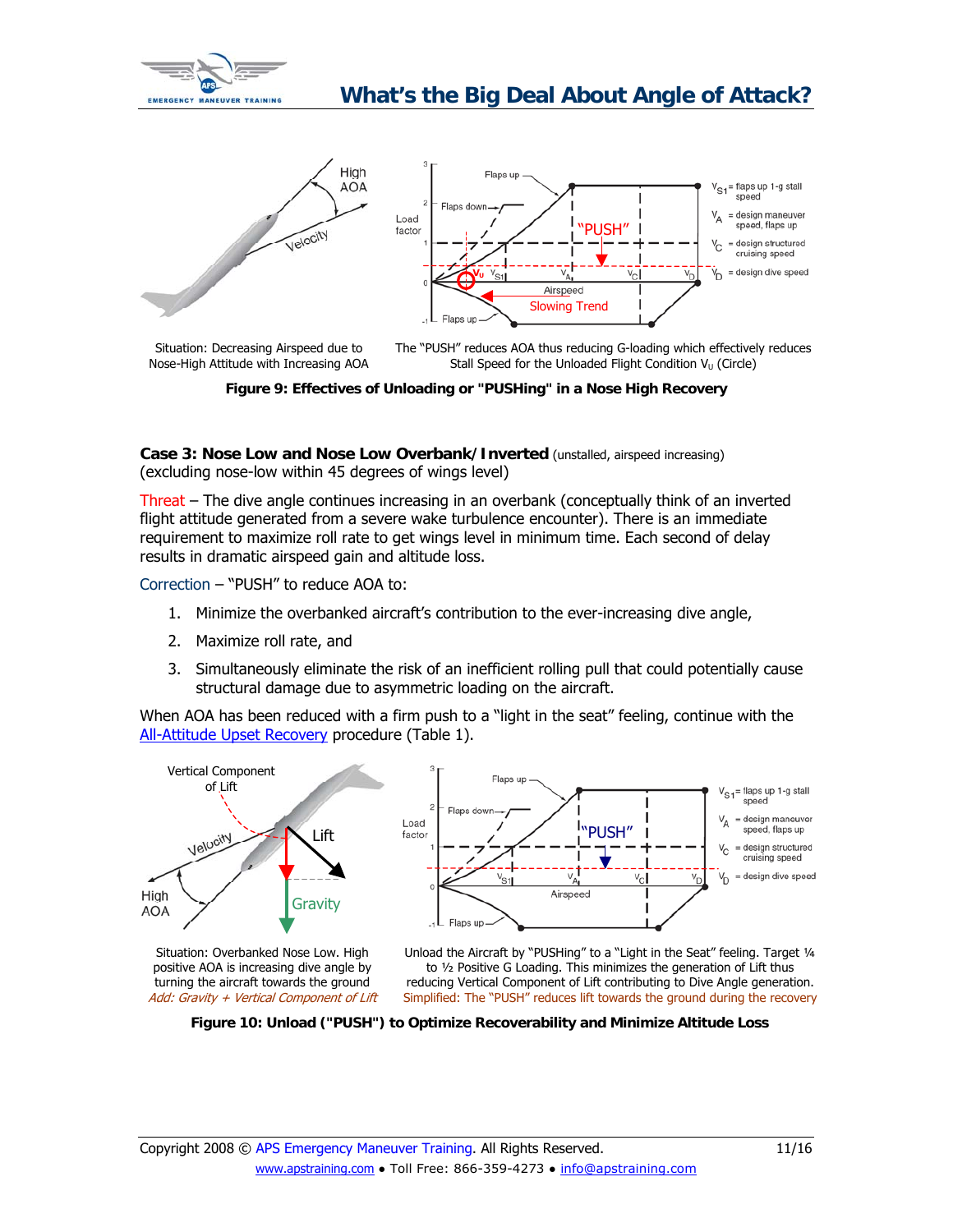<span id="page-10-0"></span>



**Figure 9: Effectives of Unloading or "PUSHing" in a Nose High Recovery**

**Case 3: Nose Low and Nose Low Overbank/Inverted** (unstalled, airspeed increasing) (excluding nose-low within 45 degrees of wings level)

Threat – The dive angle continues increasing in an overbank (conceptually think of an inverted flight attitude generated from a severe wake turbulence encounter). There is an immediate requirement to maximize roll rate to get wings level in minimum time. Each second of delay results in dramatic airspeed gain and altitude loss.

Correction – "PUSH" to reduce AOA to:

- 1. Minimize the overbanked aircraft's contribution to the ever-increasing dive angle,
- 2. Maximize roll rate, and
- 3. Simultaneously eliminate the risk of an inefficient rolling pull that could potentially cause structural damage due to asymmetric loading on the aircraft.

When AOA has been reduced with a firm push to a "light in the seat" feeling, continue with the [All-Attitude Upset Recovery](http://www.apstraining.com/article-all-attitude-upset-recovery-technique-checklist.htm) procedure (Table 1).



positive AOA is increasing dive angle by turning the aircraft towards the ground Add: Gravity + Vertical Component of Lift

Unload the Aircraft by "PUSHing" to a "Light in the Seat" feeling. Target ¼ to ½ Positive G Loading. This minimizes the generation of Lift thus reducing Vertical Component of Lift contributing to Dive Angle generation. Simplified: The "PUSH" reduces lift towards the ground during the recovery

**Figure 10: Unload ("PUSH") to Optimize Recoverability and Minimize Altitude Loss**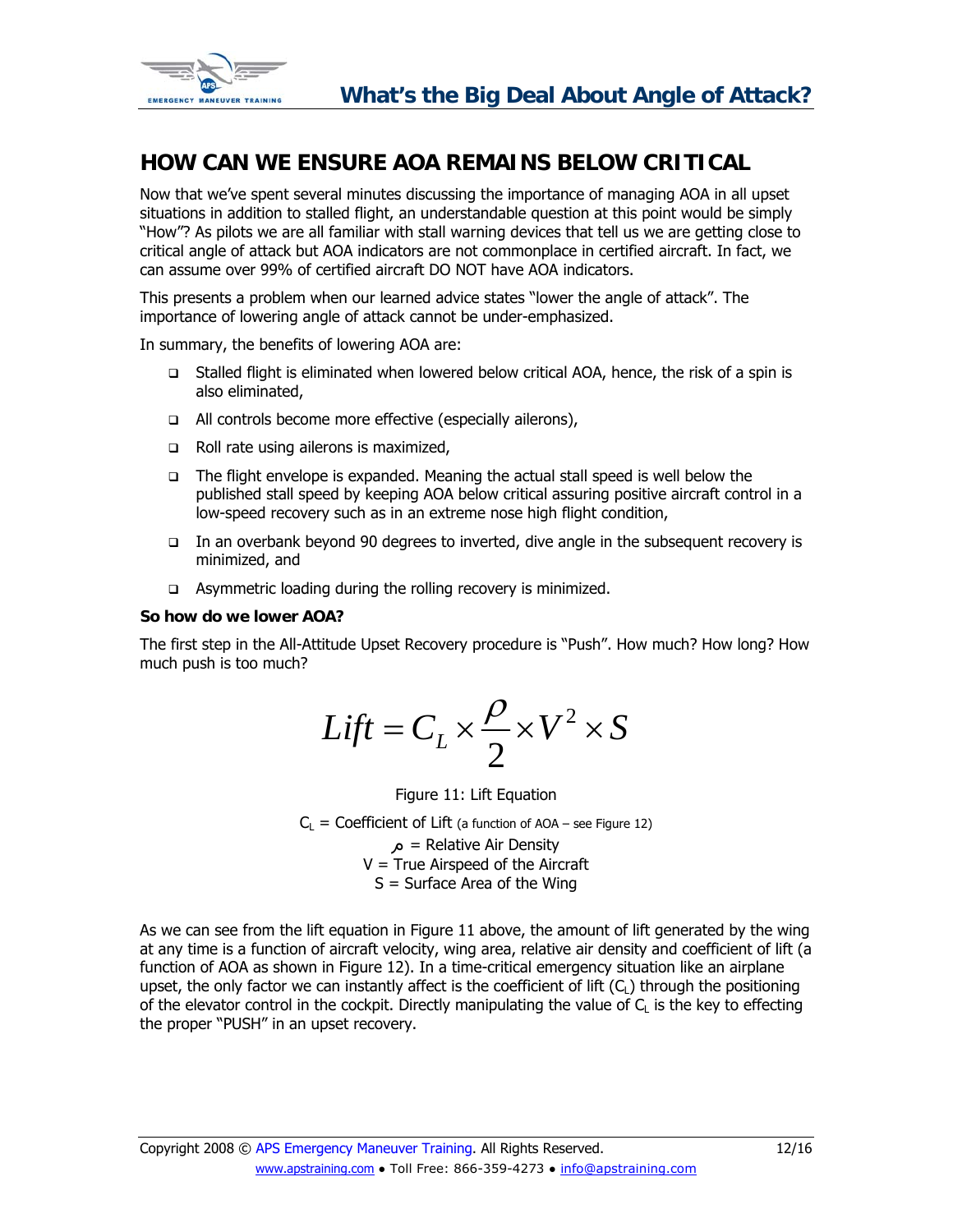<span id="page-11-0"></span>

## **HOW CAN WE ENSURE AOA REMAINS BELOW CRITICAL**

Now that we've spent several minutes discussing the importance of managing AOA in all upset situations in addition to stalled flight, an understandable question at this point would be simply "How"? As pilots we are all familiar with stall warning devices that tell us we are getting close to critical angle of attack but AOA indicators are not commonplace in certified aircraft. In fact, we can assume over 99% of certified aircraft DO NOT have AOA indicators.

This presents a problem when our learned advice states "lower the angle of attack". The importance of lowering angle of attack cannot be under-emphasized.

In summary, the benefits of lowering AOA are:

- Stalled flight is eliminated when lowered below critical AOA, hence, the risk of a spin is also eliminated,
- □ All controls become more effective (especially ailerons),
- Roll rate using ailerons is maximized,
- The flight envelope is expanded. Meaning the actual stall speed is well below the published stall speed by keeping AOA below critical assuring positive aircraft control in a low-speed recovery such as in an extreme nose high flight condition,
- In an overbank beyond 90 degrees to inverted, dive angle in the subsequent recovery is minimized, and
- $\Box$  Asymmetric loading during the rolling recovery is minimized.

### **So how do we lower AOA?**

The first step in the All-Attitude Upset Recovery procedure is "Push". How much? How long? How much push is too much?

$$
Lift = C_L \times \frac{\rho}{2} \times V^2 \times S
$$

Figure 11: Lift Equation

 $C_1$  = Coefficient of Lift (a function of AOA – see Figure 12)

 $\alpha$  = Relative Air Density  $V = True$  Airspeed of the Aircraft  $S =$  Surface Area of the Wing

As we can see from the lift equation in Figure 11 above, the amount of lift generated by the wing at any time is a function of aircraft velocity, wing area, relative air density and coefficient of lift (a function of AOA as shown in Figure 12). In a time-critical emergency situation like an airplane upset, the only factor we can instantly affect is the coefficient of lift  $(C<sub>i</sub>)$  through the positioning of the elevator control in the cockpit. Directly manipulating the value of  $C<sub>1</sub>$  is the key to effecting the proper "PUSH" in an upset recovery.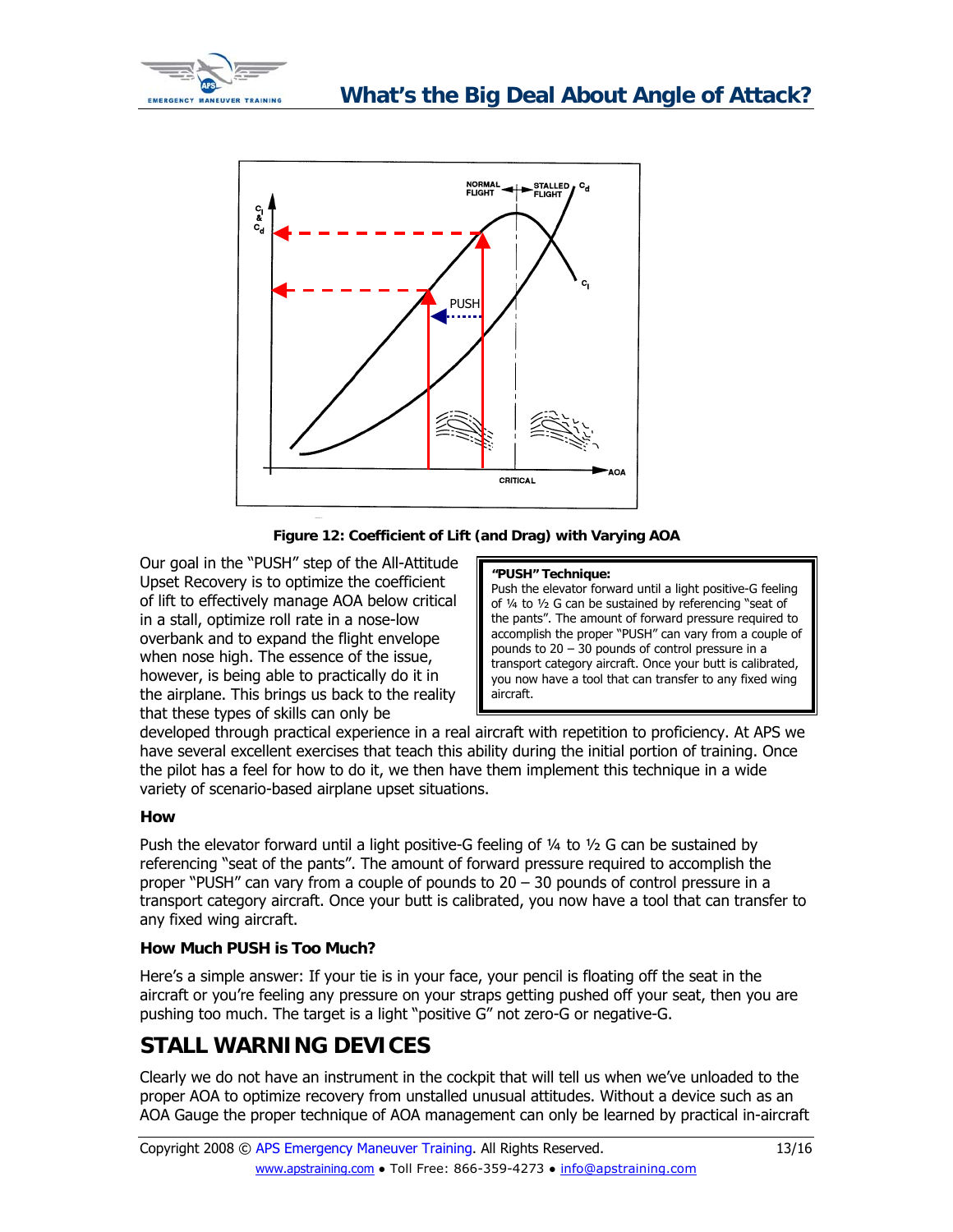<span id="page-12-0"></span>



**Figure 12: Coefficient of Lift (and Drag) with Varying AOA** 

Our goal in the "PUSH" step of the All-Attitude Upset Recovery is to optimize the coefficient of lift to effectively manage AOA below critical in a stall, optimize roll rate in a nose-low overbank and to expand the flight envelope when nose high. The essence of the issue, however, is being able to practically do it in the airplane. This brings us back to the reality that these types of skills can only be

### **"PUSH" Technique:**

Push the elevator forward until a light positive-G feeling of ¼ to ½ G can be sustained by referencing "seat of the pants". The amount of forward pressure required to accomplish the proper "PUSH" can vary from a couple of pounds to 20 – 30 pounds of control pressure in a transport category aircraft. Once your butt is calibrated, you now have a tool that can transfer to any fixed wing aircraft.

developed through practical experience in a real aircraft with repetition to proficiency. At APS we have several excellent exercises that teach this ability during the initial portion of training. Once the pilot has a feel for how to do it, we then have them implement this technique in a wide variety of scenario-based airplane upset situations.

### **How**

Push the elevator forward until a light positive-G feeling of  $\frac{1}{4}$  to  $\frac{1}{2}$  G can be sustained by referencing "seat of the pants". The amount of forward pressure required to accomplish the proper "PUSH" can vary from a couple of pounds to 20 – 30 pounds of control pressure in a transport category aircraft. Once your butt is calibrated, you now have a tool that can transfer to any fixed wing aircraft.

### **How Much PUSH is Too Much?**

Here's a simple answer: If your tie is in your face, your pencil is floating off the seat in the aircraft or you're feeling any pressure on your straps getting pushed off your seat, then you are pushing too much. The target is a light "positive G" not zero-G or negative-G.

# **STALL WARNING DEVICES**

Clearly we do not have an instrument in the cockpit that will tell us when we've unloaded to the proper AOA to optimize recovery from unstalled unusual attitudes. Without a device such as an AOA Gauge the proper technique of AOA management can only be learned by practical in-aircraft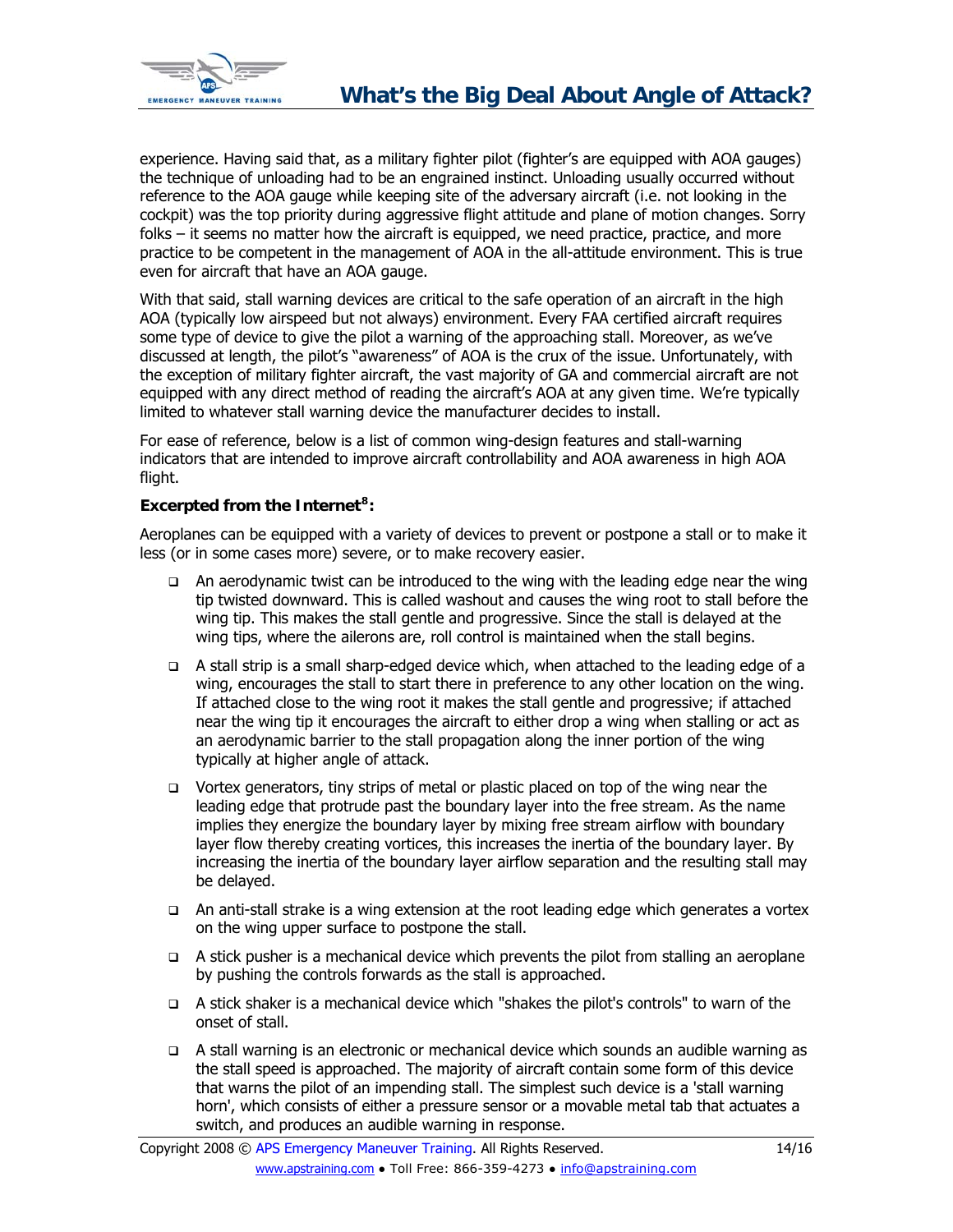

experience. Having said that, as a military fighter pilot (fighter's are equipped with AOA gauges) the technique of unloading had to be an engrained instinct. Unloading usually occurred without reference to the AOA gauge while keeping site of the adversary aircraft (i.e. not looking in the cockpit) was the top priority during aggressive flight attitude and plane of motion changes. Sorry folks – it seems no matter how the aircraft is equipped, we need practice, practice, and more practice to be competent in the management of AOA in the all-attitude environment. This is true even for aircraft that have an AOA gauge.

With that said, stall warning devices are critical to the safe operation of an aircraft in the high AOA (typically low airspeed but not always) environment. Every FAA certified aircraft requires some type of device to give the pilot a warning of the approaching stall. Moreover, as we've discussed at length, the pilot's "awareness" of AOA is the crux of the issue. Unfortunately, with the exception of military fighter aircraft, the vast majority of GA and commercial aircraft are not equipped with any direct method of reading the aircraft's AOA at any given time. We're typically limited to whatever stall warning device the manufacturer decides to install.

For ease of reference, below is a list of common wing-design features and stall-warning indicators that are intended to improve aircraft controllability and AOA awareness in high AOA flight.

### **Excerpted from the Internet[8](#page-15-1):**

Aeroplanes can be equipped with a variety of devices to prevent or postpone a stall or to make it less (or in some cases more) severe, or to make recovery easier.

- $\Box$  An aerodynamic twist can be introduced to the wing with the leading edge near the wing tip twisted downward. This is called washout and causes the wing root to stall before the wing tip. This makes the stall gentle and progressive. Since the stall is delayed at the wing tips, where the ailerons are, roll control is maintained when the stall begins.
- $\Box$  A stall strip is a small sharp-edged device which, when attached to the leading edge of a wing, encourages the stall to start there in preference to any other location on the wing. If attached close to the wing root it makes the stall gentle and progressive; if attached near the wing tip it encourages the aircraft to either drop a wing when stalling or act as an aerodynamic barrier to the stall propagation along the inner portion of the wing typically at higher angle of attack.
- $\Box$  Vortex generators, tiny strips of metal or plastic placed on top of the wing near the leading edge that protrude past the boundary layer into the free stream. As the name implies they energize the boundary layer by mixing free stream airflow with boundary layer flow thereby creating vortices, this increases the inertia of the boundary layer. By increasing the inertia of the boundary layer airflow separation and the resulting stall may be delayed.
- An anti-stall strake is a wing extension at the root leading edge which generates a vortex on the wing upper surface to postpone the stall.
- $\Box$  A stick pusher is a mechanical device which prevents the pilot from stalling an aeroplane by pushing the controls forwards as the stall is approached.
- A stick shaker is a mechanical device which "shakes the pilot's controls" to warn of the onset of stall.
- A stall warning is an electronic or mechanical device which sounds an audible warning as the stall speed is approached. The majority of aircraft contain some form of this device that warns the pilot of an impending stall. The simplest such device is a 'stall warning horn', which consists of either a pressure sensor or a movable metal tab that actuates a switch, and produces an audible warning in response.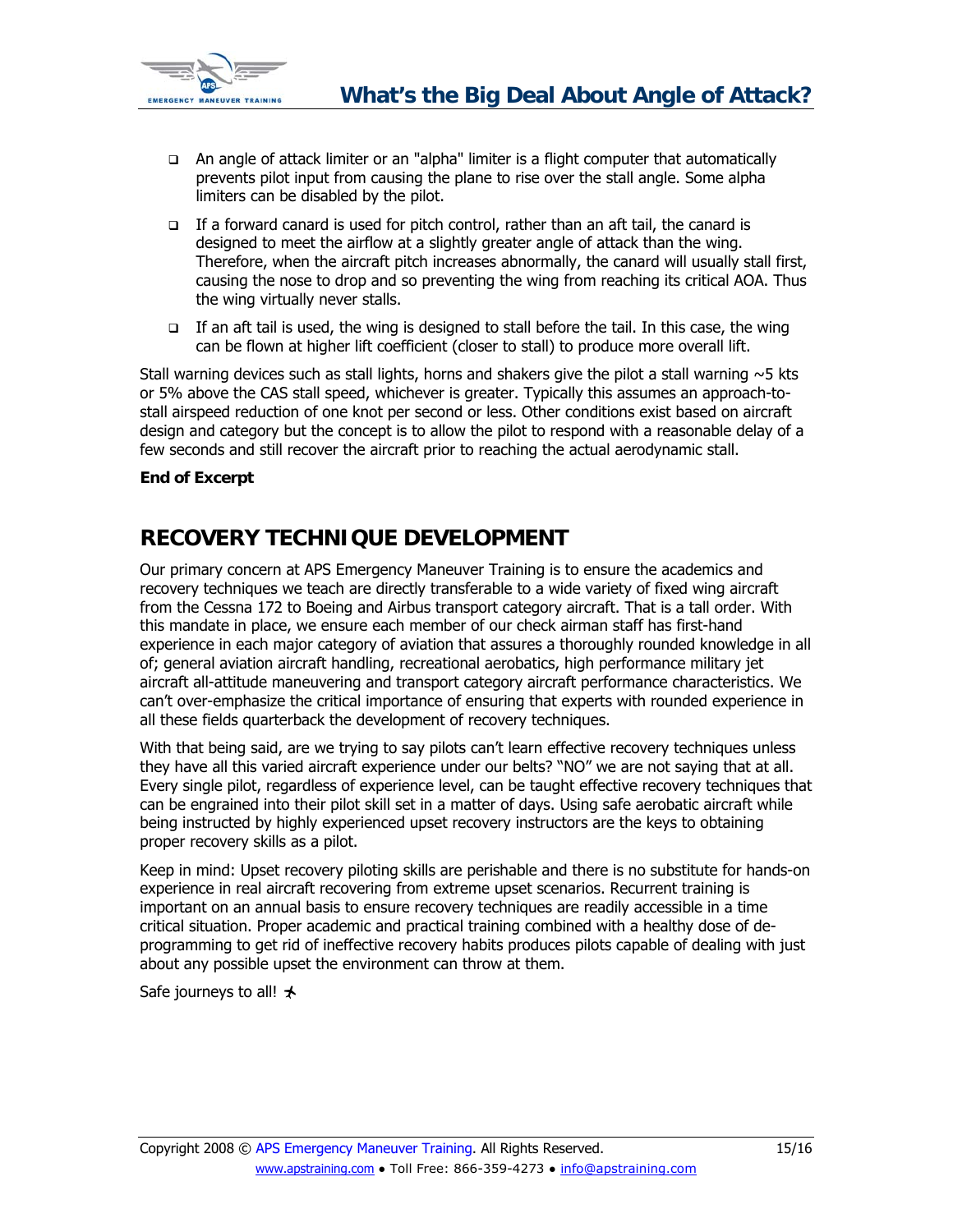<span id="page-14-0"></span>

- An angle of attack limiter or an "alpha" limiter is a flight computer that automatically prevents pilot input from causing the plane to rise over the stall angle. Some alpha limiters can be disabled by the pilot.
- $\Box$  If a forward canard is used for pitch control, rather than an aft tail, the canard is designed to meet the airflow at a slightly greater angle of attack than the wing. Therefore, when the aircraft pitch increases abnormally, the canard will usually stall first, causing the nose to drop and so preventing the wing from reaching its critical AOA. Thus the wing virtually never stalls.
- If an aft tail is used, the wing is designed to stall before the tail. In this case, the wing can be flown at higher lift coefficient (closer to stall) to produce more overall lift.

Stall warning devices such as stall lights, horns and shakers give the pilot a stall warning  $\sim$  5 kts or 5% above the CAS stall speed, whichever is greater. Typically this assumes an approach-tostall airspeed reduction of one knot per second or less. Other conditions exist based on aircraft design and category but the concept is to allow the pilot to respond with a reasonable delay of a few seconds and still recover the aircraft prior to reaching the actual aerodynamic stall.

### **End of Excerpt**

## **RECOVERY TECHNIQUE DEVELOPMENT**

Our primary concern at APS Emergency Maneuver Training is to ensure the academics and recovery techniques we teach are directly transferable to a wide variety of fixed wing aircraft from the Cessna 172 to Boeing and Airbus transport category aircraft. That is a tall order. With this mandate in place, we ensure each member of our check airman staff has first-hand experience in each major category of aviation that assures a thoroughly rounded knowledge in all of; general aviation aircraft handling, recreational aerobatics, high performance military jet aircraft all-attitude maneuvering and transport category aircraft performance characteristics. We can't over-emphasize the critical importance of ensuring that experts with rounded experience in all these fields quarterback the development of recovery techniques.

With that being said, are we trying to say pilots can't learn effective recovery techniques unless they have all this varied aircraft experience under our belts? "NO" we are not saying that at all. Every single pilot, regardless of experience level, can be taught effective recovery techniques that can be engrained into their pilot skill set in a matter of days. Using safe aerobatic aircraft while being instructed by highly experienced upset recovery instructors are the keys to obtaining proper recovery skills as a pilot.

Keep in mind: Upset recovery piloting skills are perishable and there is no substitute for hands-on experience in real aircraft recovering from extreme upset scenarios. Recurrent training is important on an annual basis to ensure recovery techniques are readily accessible in a time critical situation. Proper academic and practical training combined with a healthy dose of deprogramming to get rid of ineffective recovery habits produces pilots capable of dealing with just about any possible upset the environment can throw at them.

Safe journeys to all!  $\star$